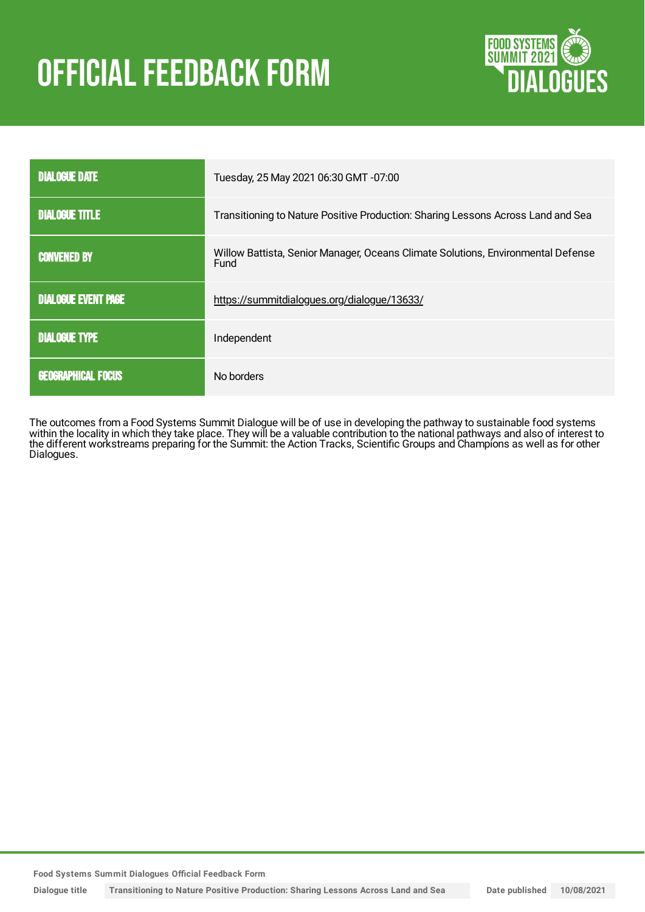# **OFFICIAL FEEDBACK FORM**



| <b>DIALOGUE DATE</b>       | Tuesday, 25 May 2021 06:30 GMT -07:00                                                    |
|----------------------------|------------------------------------------------------------------------------------------|
| <b>DIALOGUE TITLE</b>      | Transitioning to Nature Positive Production: Sharing Lessons Across Land and Sea         |
| <b>CONVENED BY</b>         | Willow Battista, Senior Manager, Oceans Climate Solutions, Environmental Defense<br>Fund |
| <b>DIALOGUE EVENT PAGE</b> | https://summitdialogues.org/dialogue/13633/                                              |
| <b>DIALOGUE TYPE</b>       | Independent                                                                              |
| <b>GEOGRAPHICAL FOCUS</b>  | No borders                                                                               |

The outcomes from a Food Systems Summit Dialogue will be of use in developing the pathway to sustainable food systems within the locality in which they take place. They will be a valuable contribution to the national pathways and also of interest to the different workstreams preparing for the Summit: the Action Tracks, Scientific Groups and Champions as well as for other Dialogues.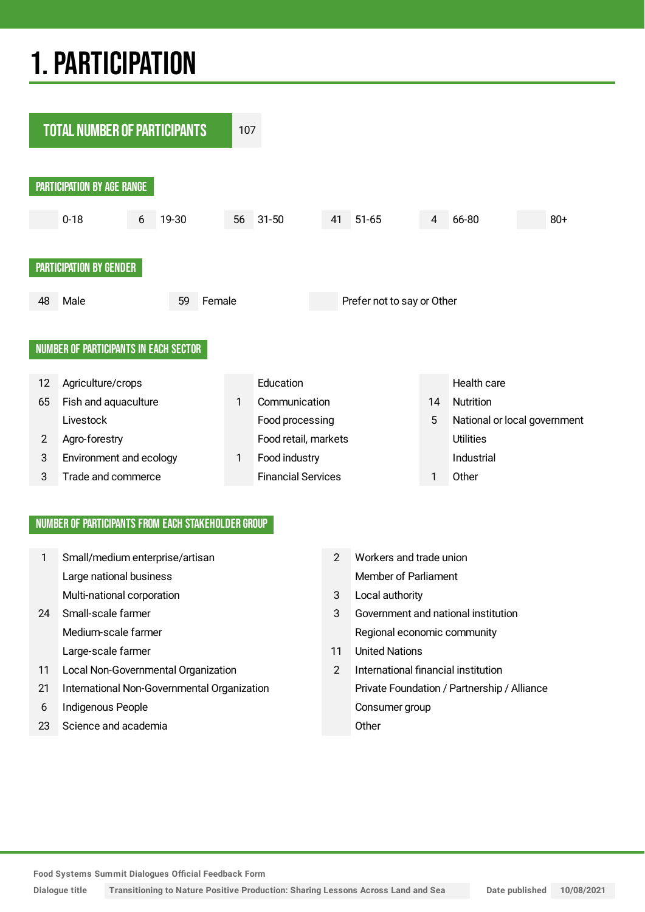## 1.PARTICIPATION



#### NUMBER OF PARTICIPANTS FROM EACH STAKEHOLDER GROUP

|    | Small/medium enterprise/artisan             | $\overline{2}$ | Workers and trade union                     |
|----|---------------------------------------------|----------------|---------------------------------------------|
|    | Large national business                     |                | Member of Parliament                        |
|    | Multi-national corporation                  | 3              | Local authority                             |
| 24 | Small-scale farmer                          | 3              | Government and national institution         |
|    | Medium-scale farmer                         |                | Regional economic community                 |
|    | Large-scale farmer                          | 11             | <b>United Nations</b>                       |
| 11 | Local Non-Governmental Organization         | $\mathcal{P}$  | International financial institution         |
| 21 | International Non-Governmental Organization |                | Private Foundation / Partnership / Alliance |
| 6  | Indigenous People                           |                | Consumer group                              |
| 23 | Science and academia                        |                | Other                                       |

**Food Systems Summit Dialogues Official Feedback Form**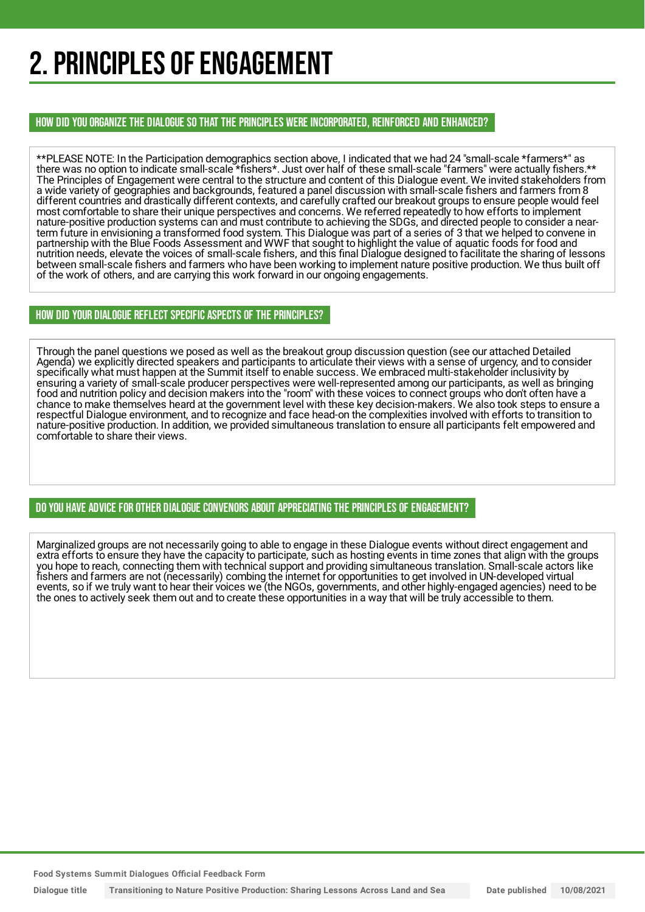## 2. PRINCIPLES OF ENGAGEMENT

HOW DID YOU ORGANIZE THE DIALOGUE SO THAT THE PRINCIPLES WERE INCORPORATED, REINFORCED AND ENHANCED?

\*\*PLEASE NOTE: In the Participation demographics section above, I indicated that we had 24 "small-scale \*farmers\*" as there was no option to indicate small-scale \*fishers\*. Just over half of these small-scale "farmers" were actually fishers.\*\* The Principles of Engagement were central to the structure and content of this Dialogue event. We invited stakeholders from a wide variety of geographies and backgrounds, featured a panel discussion with small-scale fishers and farmers from 8 different countries and drastically different contexts, and carefully crafted our breakout groups to ensure people would feel most comfortable to share their unique perspectives and concerns. We referred repeatedly to how efforts to implement nature-positive production systems can and must contribute to achieving the SDGs, and directed people to consider a nearterm future in envisioning a transformed food system. This Dialogue was part of a series of 3 that we helped to convene in partnership with the Blue Foods Assessment and WWF that sought to highlight the value of aquatic foods for food and nutrition needs, elevate the voices of small-scale fishers, and this final Dialogue designed to facilitate the sharing of lessons between small-scale fishers and farmers who have been working to implement nature positive production. We thus built off of the work of others, and are carrying this work forward in our ongoing engagements.

#### HOW DID YOUR DIALOGUE REFLECT SPECIFIC ASPECTS OF THE PRINCIPLES?

Through the panel questions we posed as well as the breakout group discussion question (see our attached Detailed Agenda) we explicitly directed speakers and participants to articulate their views with a sense of urgency, and to consider specifically what must happen at the Summit itself to enable success. We embraced multi-stakeholder inclusivity by ensuring a variety of small-scale producer perspectives were well-represented among our participants, as well as bringing food and nutrition policy and decision makers into the "room" with these voices to connect groups who don't often have a chance to make themselves heard at the government level with these key decision-makers. We also took steps to ensure a respectful Dialogue environment, and to recognize and face head-on the complexities involved with efforts to transition to nature-positive production. In addition, we provided simultaneous translation to ensure all participants felt empowered and comfortable to share their views.

#### DO YOU HAVE ADVICE FOR OTHER DIALOGUE CONVENORS ABOUT APPRECIATINGTHE PRINCIPLES OF ENGAGEMENT?

Marginalized groups are not necessarily going to able to engage in these Dialogue events without direct engagement and extra efforts to ensure they have the capacity to participate, such as hosting events in time zones that align with the groups you hope to reach, connecting them with technical support and providing simultaneous translation. Small-scale actors like fishers and farmers are not (necessarily) combing the internet for opportunities to get involved in UN-developed virtual events, so if we truly want to hear their voices we (the NGOs, governments, and other highly-engaged agencies) need to be the ones to actively seek them out and to create these opportunities in a way that will be truly accessible to them.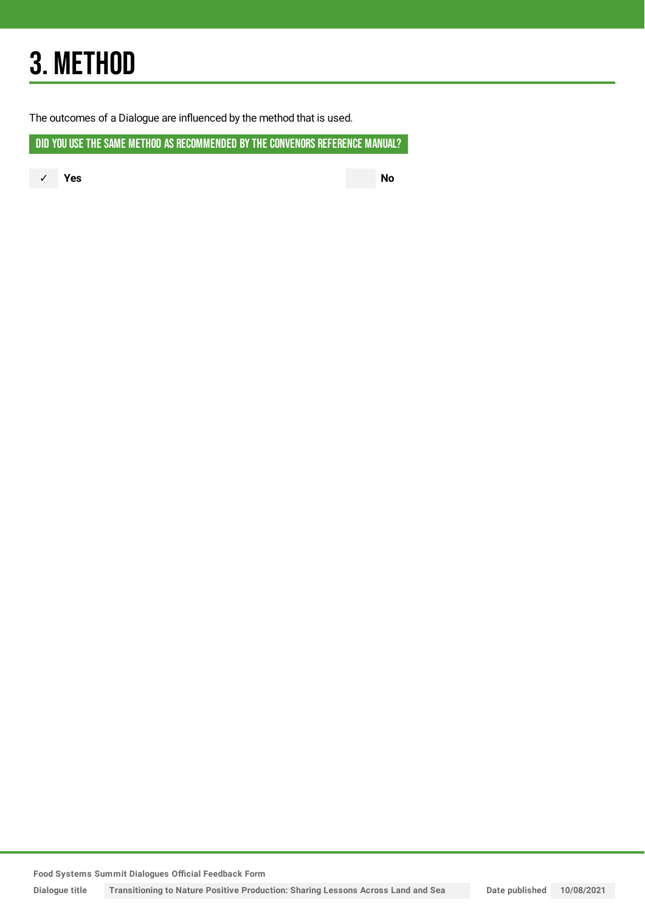## 3. METHOD

The outcomes of a Dialogue are influenced by the method that is used.

DID YOU USE THE SAME METHOD AS RECOMMENDED BY THE CONVENORS REFERENCE MANUAL?

✓ **Yes No**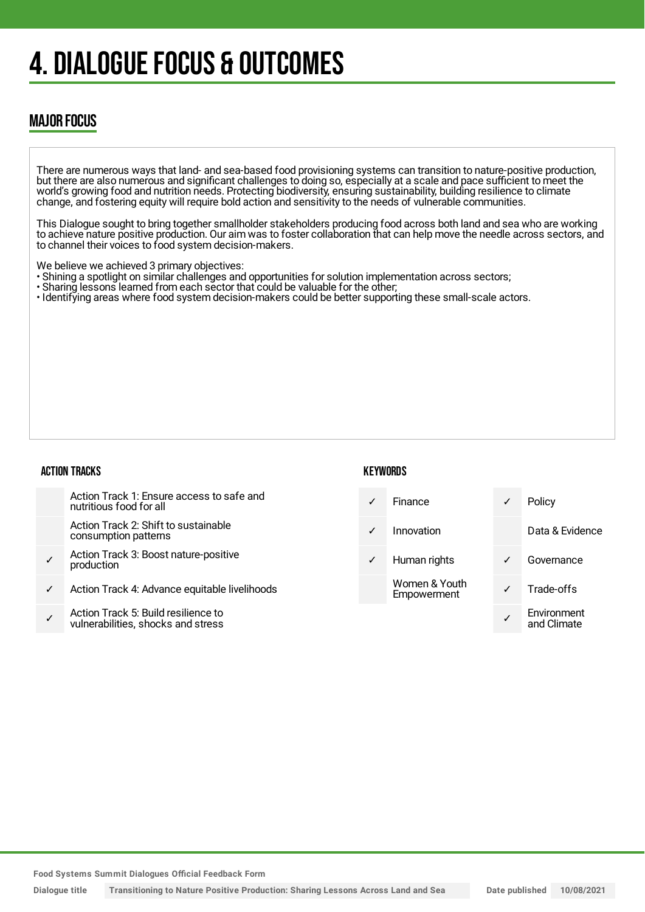## 4. DIALOGUE FOCUS & OUTCOMES

### MAJOR FOCUS

There are numerous ways that land- and sea-based food provisioning systems can transition to nature-positive production, but there are also numerous and significant challenges to doing so, especially at a scale and pace sufficient to meet the world's growing food and nutrition needs. Protecting biodiversity, ensuring sustainability, building resilience to climate change, and fostering equity will require bold action and sensitivity to the needs of vulnerable communities.

This Dialogue sought to bring together smallholder stakeholders producing food across both land and sea who are working to achieve nature positive production. Our aim was to foster collaboration that can help move the needle across sectors, and to channel their voices to food system decision-makers.

We believe we achieved 3 primary objectives:

- Shining a spotlight on similar challenges and opportunities for solution implementation across sectors;
- Sharing lessons learned from each sector that could be valuable for the other;
- Identifying areas where food system decision-makers could be better supporting these small-scale actors.

#### ACTION TRACKS

#### **KEYWORDS**

|              | Action Track 1: Ensure access to safe and<br>nutritious food for all      | Finance                      | ✓            | Policy                     |
|--------------|---------------------------------------------------------------------------|------------------------------|--------------|----------------------------|
|              | Action Track 2: Shift to sustainable<br>consumption patterns              | Innovation                   |              | Data & Evidence            |
|              | Action Track 3: Boost nature-positive<br>production                       | Human rights                 | $\checkmark$ | Governance                 |
| $\checkmark$ | Action Track 4: Advance equitable livelihoods                             | Women & Youth<br>Empowerment |              | Trade-offs                 |
| ✓            | Action Track 5: Build resilience to<br>vulnerabilities, shocks and stress |                              |              | Environment<br>and Climate |
|              |                                                                           |                              |              |                            |

**Food Systems Summit Dialogues Official Feedback Form**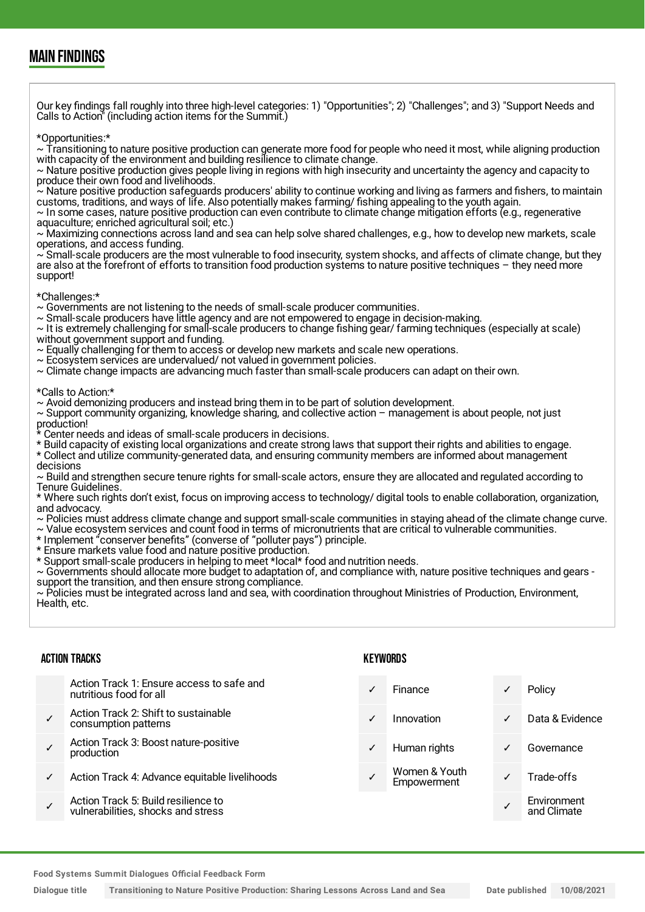### MAIN FINDINGS

Our key findings fall roughly into three high-level categories: 1) "Opportunities"; 2) "Challenges"; and 3) "Support Needs and Calls to Action" (including action items for the Summit.)

\*Opportunities:\*

 $\sim$  Transitioning to nature positive production can generate more food for people who need it most, while aligning production with capacity of the environment and building resilience to climate change.

~ Nature positive production gives people living in regions with high insecurity and uncertainty the agency and capacity to produce their own food and livelihoods.

~ Nature positive production safeguards producers' ability to continue working and living as farmers and fishers, to maintain customs, traditions, and ways of life. Also potentially makes farming/ fishing appealing to the youth again.

~ In some cases, nature positive production can even contribute to climate change mitigation efforts (e.g., regenerative aquaculture; enriched agricultural soil; etc.)

 $\sim$  Maximizing connections across land and sea can help solve shared challenges, e.g., how to develop new markets, scale operations, and access funding.

 $\sim$  Small-scale producers are the most vulnerable to food insecurity, system shocks, and affects of climate change, but they are also at the forefront of efforts to transition food production systems to nature positive techniques – they need more support!

\*Challenges:\*

~ Governments are not listening to the needs of small-scale producer communities.

 $\sim$  Small-scale producers have little agency and are not empowered to engage in decision-making.

~ It is extremely challenging for small-scale producers to change fishing gear/ farming techniques (especially at scale) without government support and funding.

 $\sim$  Equally challenging for them to access or develop new markets and scale new operations.

~ Ecosystem services are undervalued/ not valued in government policies.

 $\sim$  Climate change impacts are advancing much faster than small-scale producers can adapt on their own.

\*Calls to Action:\*

~ Avoid demonizing producers and instead bring them in to be part of solution development.

 $\sim$  Support community organizing, knowledge sharing, and collective action – management is about people, not just

production!

Center needs and ideas of small-scale producers in decisions.

\* Build capacity of existing local organizations and create strong laws that support their rights and abilities to engage. \* Collect and utilize community-generated data, and ensuring community members are informed about management decisions

~ Build and strengthen secure tenure rights for small-scale actors, ensure they are allocated and regulated according to Tenure Guidelines.

\* Where such rights don't exist, focus on improving access to technology/ digital tools to enable collaboration, organization, and advocacy.

~ Policies must address climate change and support small-scale communities in staying ahead of the climate change curve.

~ Value ecosystem services and count food in terms of micronutrients that are critical to vulnerable communities.

\* Implement "conserver benefits" (converse of "polluter pays") principle.

\* Ensure markets value food and nature positive production.

\* Support small-scale producers in helping to meet \*local\* food and nutrition needs.

~ Governments should allocate more budget to adaptation of, and compliance with, nature positive techniques and gears support the transition, and then ensure strong compliance.

~ Policies must be integrated across land and sea, with coordination throughout Ministries of Production, Environment, Health, etc.

#### ACTION TRACKS

| Action Track 1: Ensure access to safe and |  |
|-------------------------------------------|--|
| nutritious food for all                   |  |

- ✓ Action Track 2: Shift to sustainable consumption patterns
- ✓ Action Track 3: Boost nature-positive production
- Action Track 4: Advance equitable livelihoods
- ✓ Action Track 5: Build resilience to vulnerabilities, shocks and stress

#### **KEYWORDS**

- Finance **√** Policy ✓ Innovation ✓ Data & Evidence
- 
- Women & Youth Women & Tourn<br>Empowerment V Trade-offs
- 
- 
- Human rights **V** Governance
	-
	- ✓ Environment and Climate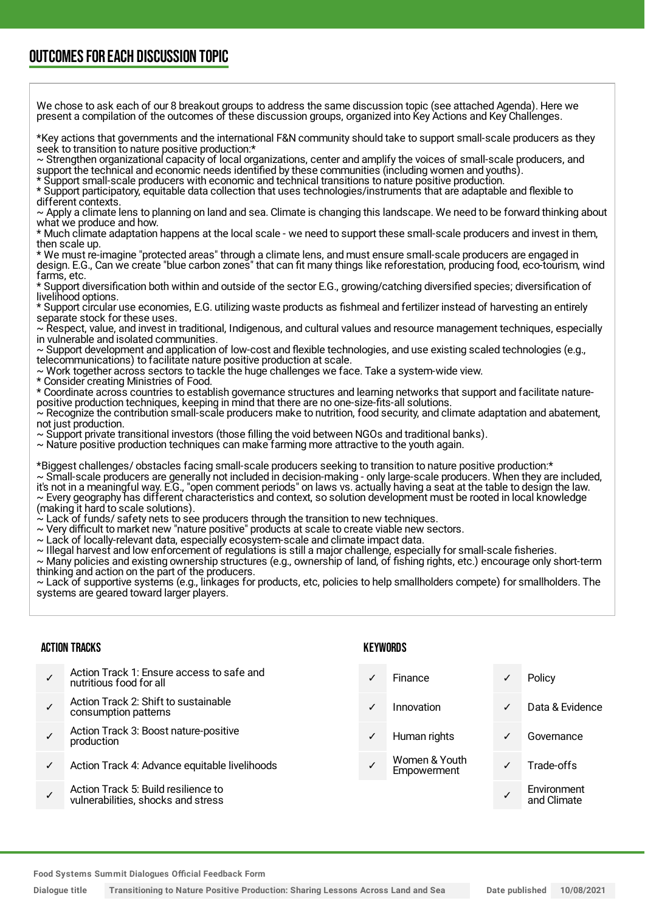### OUTCOMESFOR EACH DISCUSSION TOPIC

We chose to ask each of our 8 breakout groups to address the same discussion topic (see attached Agenda). Here we present a compilation of the outcomes of these discussion groups, organized into Key Actions and Key Challenges. \*Key actions that governments and the international F&N community should take to support small-scale producers as they seek to transition to nature positive production:\* ~ Strengthen organizational capacity of local organizations, center and amplify the voices of small-scale producers, and support the technical and economic needs identified by these communities (including women and youths). \* Support small-scale producers with economic and technical transitions to nature positive production. \* Support participatory, equitable data collection that uses technologies/instruments that are adaptable and flexible to different contexts. Apply a climate lens to planning on land and sea. Climate is changing this landscape. We need to be forward thinking about what we produce and how. \* Much climate adaptation happens at the local scale - we need to support these small-scale producers and invest in them, then scale up. \* We must re-imagine "protected areas" through a climate lens, and must ensure small-scale producers are engaged in design. E.G., Can we create "blue carbon zones" that can fit many things like reforestation, producing food, eco-tourism, wind farms, etc. \* Support diversification both within and outside of the sector E.G., growing/catching diversified species; diversification of livelihood options. \* Support circular use economies, E.G. utilizing waste products as fishmeal and fertilizer instead of harvesting an entirely separate stock for these uses. ~ Respect, value, and invest in traditional, Indigenous, and cultural values and resource management techniques, especially in vulnerable and isolated communities. ~ Support development and application of low-cost and flexible technologies, and use existing scaled technologies (e.g., telecommunications) to facilitate nature positive production at scale. ~ Work together across sectors to tackle the huge challenges we face. Take a system-wide view. \* Consider creating Ministries of Food. \* Coordinate across countries to establish governance structures and learning networks that support and facilitate naturepositive production techniques, keeping in mind that there are no one-size-fits-all solutions.  $\sim$  Recognize the contribution small-scale producers make to nutrition, food security, and climate adaptation and abatement, not just production.  $\sim$  Support private transitional investors (those filling the void between NGOs and traditional banks).  $\sim$  Nature positive production techniques can make farming more attractive to the youth again. \*Biggest challenges/ obstacles facing small-scale producers seeking to transition to nature positive production:\* ~ Small-scale producers are generally not included in decision-making - only large-scale producers. When they are included, it's not in a meaningful way. E.G., "open comment periods" on laws vs. actually having a seat at the table to design the law. ~ Every geography has different characteristics and context, so solution development must be rooted in local knowledge (making it hard to scale solutions).  $\sim$  Lack of funds/ safety nets to see producers through the transition to new techniques. ~ Very difficult to market new "nature positive" products at scale to create viable new sectors.  $\sim$  Lack of locally-relevant data, especially ecosystem-scale and climate impact data. ~ Illegal harvest and low enforcement of regulations is still a major challenge, especially for small-scale fisheries. ~ Many policies and existing ownership structures (e.g., ownership of land, of fishing rights, etc.) encourage only short-term thinking and action on the part of the producers. ~ Lack of supportive systems (e.g., linkages for products, etc, policies to help smallholders compete) for smallholders. The systems are geared toward larger players.

#### ACTION TRACKS

- ✓ Action Track 1: Ensure access to safe and nutritious food for all ✓ Action Track 2: Shift to sustainable consumption patterns ✓ Action Track 3: Boost nature-positive production Action Track 4: Advance equitable livelihoods Action Track 5: Build resilience to Finance **v** Policy ✓ Innovation ✓ Data & Evidence Human rights **v** Governance Women & Youth Wornen & Youn<br>Empowerment V Trade-offs **Environment**
- ✓ vulnerabilities, shocks and stress

#### **KEYWORDS**

✓ and Climate

**Food Systems Summit Dialogues Official Feedback Form**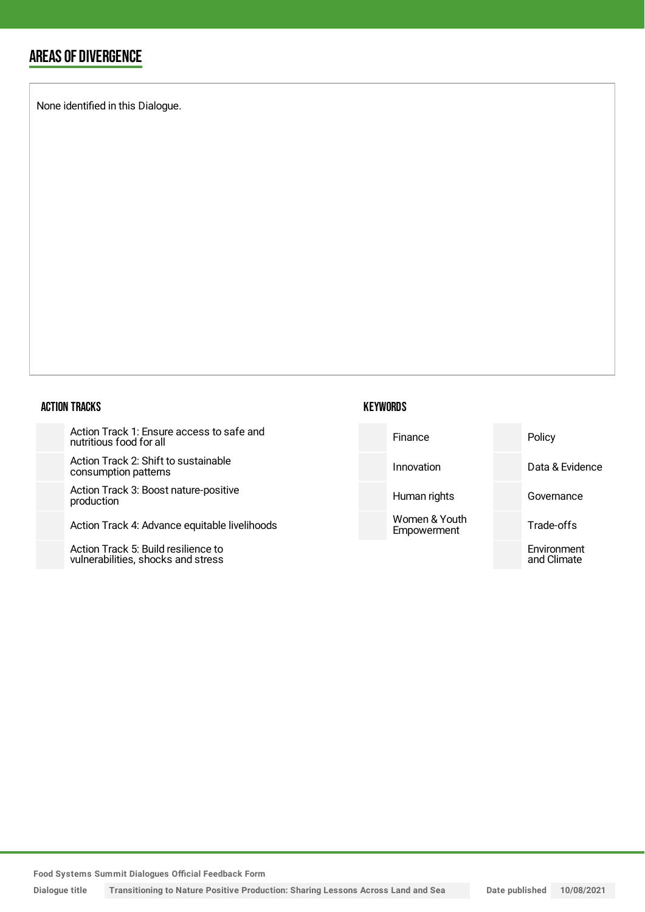### AREAS OF DIVERGENCE

None identified in this Dialogue.

#### ACTION TRACKS

Action Track 1: Ensure access to safe and nutritious food for all

Action Track 2: Shift to sustainable consumption patterns

Action Track 3: Boost nature-positive production

Action Track 4: Advance equitable livelihoods

Action Track 5: Build resilience to vulnerabilities, shocks and stress

| Finance    | Policy          |
|------------|-----------------|
| Innovation | Data & Evidence |

Women & Youth Empowerment

**KEYWORDS** 

Human rights **Governance** 

Trade-offs

Environment and Climate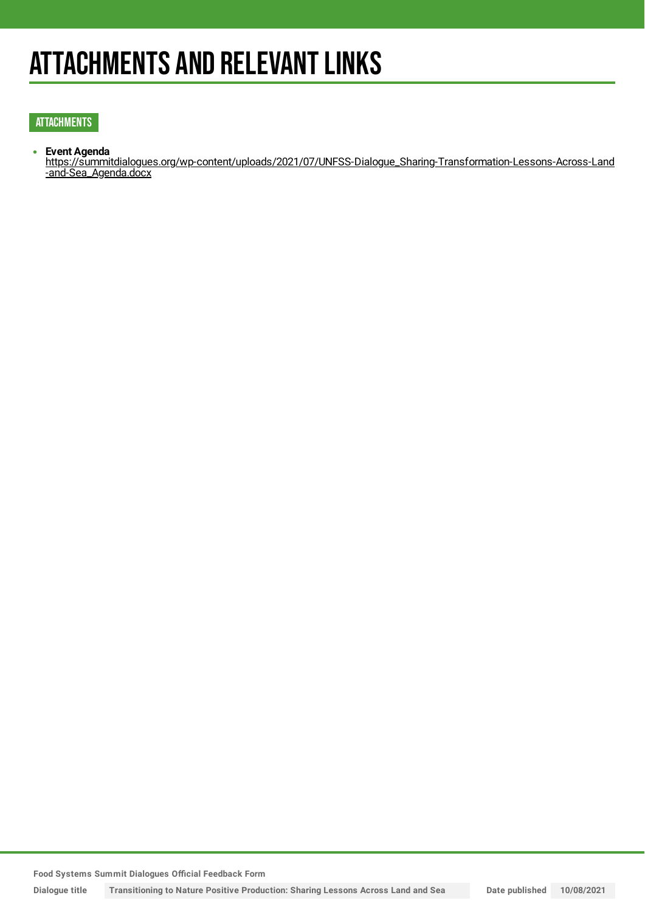## **ATTACHMENTS AND RELEVANT LINKS**

#### ATTACHMENTS

**Event Agenda**  $\bullet$ 

[https://summitdialogues.org/wp-content/uploads/2021/07/UNFSS-Dialogue\\_Sharing-Transformation-Lessons-Across-Land](https://summitdialogues.org/wp-content/uploads/2021/07/UNFSS-Dialogue_Sharing-Transformation-Lessons-Across-Land-and-Sea_Agenda.docx) -and-Sea\_Agenda.docx